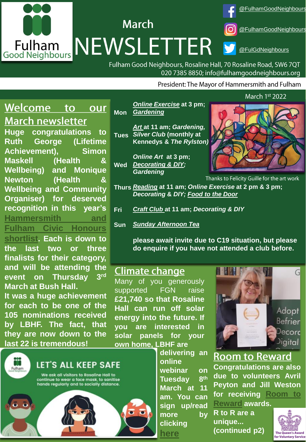

Fulham Good Neighbours, Rosaline Hall, 70 Rosaline Road, SW6 7QT 020 7385 8850; info@fulhamgoodneighbours.org

President: The Mayor of Hammersmith and Fulham

## Welcome to our **March newsletter**

**Huge congratulations to Ruth George (Lifetime Achievement), Simon Maskell (Health & Wellbeing) and Monique Newton (Health & Wellbeing and Community Organiser) for deserved recognition in this year's [Hammersmith](https://www.lbhf.gov.uk/articles/news/2022/02/hf-civic-honours-22-inspirational-finalists-make-shortlist) and Fulham Civic Honours**

**shortlist. Each is down to the last two or three finalists for their category, and will be attending the event on Thursday 3** 3rd **March at Bush Hall.**

**It was a huge achievement for each to be one of the 105 nominations received by LBHF. The fact, that they are now down to the last 22 is tremendous!**



**Mon** *[Online Exercise](https://www.fulhamgoodneighbours.org/our-services/we-support-online/we-support-online-chair-based-exercise)* **at 3 pm;**  *[Gardening](https://www.fulhamgoodneighbours.org/our-services/support-in-the-home-and-garden/support-in-the-home-and-garden-gardening)*

**Tues** *Silver Club* **(monthly at**  *[Art](https://www.fulhamgoodneighbours.org/our-services/we-support-online/we-support-online-art-group)* **at 11 am;** *Gardening,* **Kennedys &** *The Rylston)*

**Wed** *Online Art* **at 3 pm;**  *[Decorating & DIY;](https://www.fulhamgoodneighbours.org/our-services/support-in-the-home-and-garden/support-in-the-home-and-garden-decorating-and-diy) Gardening*



Online Chair Based nks to Felicity Guille

- Online Art at 11 am **Thurs** *[Reading](https://www.fulhamgoodneighbours.org/our-services/support-in-the-community/support-in-the-community-social-clubs)* **at 11 am;** *Online Exercise* **at 2 pm & 3 pm;**  *Decorating* **&** *DIY; [Food to the Door](https://www.fulhamgoodneighbours.org/our-services/support-in-the-home-and-garden/support-in-the-home-and-garden-food-to-the-door)*
- **Wednesdays** Online Art at 3 pm **Fri** *[Craft Club](https://www.fulhamgoodneighbours.org/event/craftclubfridayfree)* **at 11 am;** *Decorating & DIY*
- **Sun** *[Sunday Afternoon Tea](https://www.fulhamgoodneighbours.org/our-services/support-in-the-community/support-in-the-community-social-clubs)*

**please await invite due to C19 situation, but please do enquire if you have not attended a club before.** 

## **Climate change**

Many of you generously supported FGN raise **£21,740 so that Rosaline Hall can run off solar energy into the future. If you are interested in solar panels for your own home, LBHF are delivering an**

**online**

**Tuesday 8**

**clicking [here](https://www.eventbrite.co.uk/e/so-youre-thinking-of-getting-solar-panels-tickets-276753787027)**

**webinar on**

**March at 11 am. You can sign up/read more by**

**th**



**Room to Reward** 

**Congratulations are also due to volunteers Avril Peyton and Jill Weston for [receiving](https://www.roomtoreward.org/) Room to**

**Reward awards. R to R are a unique... (continued p2)**

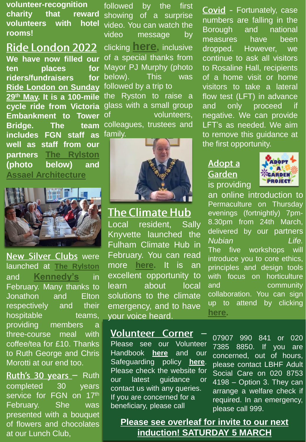**volunteer-recognition charity that reward volunteers with hotel rooms!**

**Ride London 2022 We have now filled our ten places for riders/fundraisers for Ride London on Sunday 29th May. It is a [100-mile](https://www.fulhamgoodneighbours.org/event/RideLondon2022) cycle ride from Victoria Embankment to Tower Bridge. The team includes FGN staff as well as staff from our partners The [Rylston](https://www.therylston.com/) (photo below) and Assael [Architecture](https://assael.co.uk/)**



**New Silver Clubs were** launched at **The [Rylston](https://www.therylston.com/)** and **[Kennedy's](https://kennedyslondon.co.uk/)** in February. Many thanks to Jonathon and Elton respectively and their hospitable teams, providing members a three-course meal with coffee/tea for £10. Thanks to Ruth George and Chris Morotti at our end too.

Ruth's 30 years - Ruth completed 30 years service for FGN on 17th February. She was presented with a bouquet of flowers and chocolates at our Lunch Club,

followed by the first showing of a surprise video. You can watch the video message by clicking **[here](https://www.youtube.com/watch?v=xOuq5ISvX-0),** inclusive of a special thanks from Mayor PJ Murphy (photo below). This was followed by a trip to the Ryston to raise a glass with a small group of volunteers, colleagues, trustees and family.



## **The Climate Hub**

Local resident, Sally Knyvette launched the Fulham Climate Hub in February. You can read more **[here](https://www.lbhf.gov.uk/articles/news/2022/01/join-local-residents-taking-climate-action-fulham-climate-hub?dm_i=BGN,7PNRF,7P1G3S,VFP8F,1).** It is an excellent opportunity to learn about local solutions to the climate emergency, and to have your voice heard.

### **Volunteer Corner**

Please see our Volunteer Handbook **[here](https://www.fulhamgoodneighbours.org/uploadedimages/fulhamgn/gallery/Volunteer%20Handbook%20v%2030th%20June%202020.pdf)** and our Safeguarding policy **[here](https://www.fulhamgoodneighbours.org/uploadedimages/fulhamgn/gallery/FGNS%20Adult%20Safeguarding%20Policy%20and%20Procedure%20v%2028th%20October%202020.pdf)**. Please check the website for our latest guidance or contact us with any queries. If you are concerned for a beneficiary, please call

Covid - Fortunately, case numbers are falling in the Borough and national measures have been dropped. However, we continue to ask all visitors to Rosaline Hall, recipients of a home visit or home visitors to take a lateral flow test (LFT) in advance and only proceed if negative. We can provide LFT's as needed. We aim to remove this guidance at the first opportunity.

### Adopt a **Garden** is providing



an online introduction to Permaculture on Thursday evenings (fortnightly) 7pm-8.30pm from 24th March, delivered by our partners *Nubian Life.* The five workshops will introduce you to core ethics, principles and design tools with focus on horticulture and community collaboration. You can sign up to attend by clicking **[here](https://forms.gle/dKV9o7hVFujPprjX8).**

07907 990 841 or 020 7385 8850. If you are concerned, out of hours, please contact LBHF Adult Social Care on 020 8753 4198 – Option 3. They can arrange a welfare check if required. In an emergency, please call 999.

**Please see overleaf for invite to our next induction! SATURDAY 5 MARCH**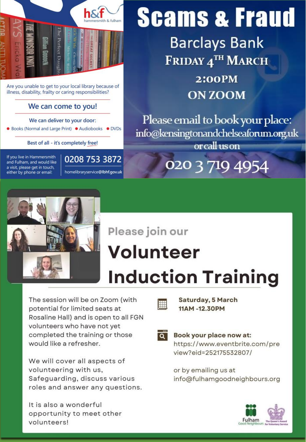

Are you unable to get to your local library because of illness, disability, frailty or caring responsibilities?

#### We can come to you!

#### We can deliver to your door:

● Books (Normal and Large Print) ● Audiobooks ● DVDs

Best of all - it's completely free!

If you live in Hammersmith and Fulham, and would like a visit, please get in touch, either by phone or email:

0208 753 3872 homelibraryservice@lbhf.gov.uk

# **Scams & Fraud**

**Barclays Bank** FRIDAY 4TH MARCH

> **2:00PM ON ZOOM**

Please email to book your place: info@kensingtonandchelseaforum.org.uk or call us on

020 3 719 4954



# Please join our **Volunteer Induction Training**

**Saturday, 5 March** 

11AM-12.30PM

The session will be on Zoom (with potential for limited seats at Rosaline Hall) and is open to all FGN volunteers who have not yet completed the training or those would like a refresher.

We will cover all aspects of volunteering with us, Safeguarding, discuss various roles and answer any questions.

It is also a wonderful opportunity to meet other volunteers!



H

Book your place now at: https://www.eventbrite.com/pre view?eid=252175532807/

or by emailing us at info@fulhamgoodneighbours.org